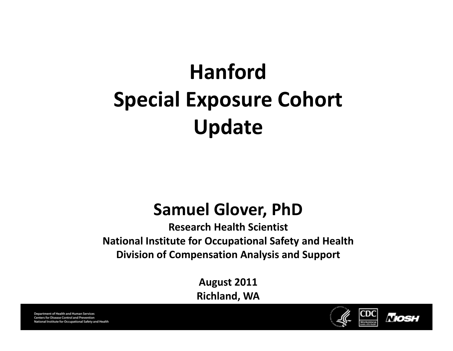# **Hanford Special Exposure Cohort Update**

#### **Samuel Glover, PhD**

**Research Health Scientist National Institute for Occupational Safety and Health Division of Compensation Analysis and Support**

**August 2011**

**Richland, WA**



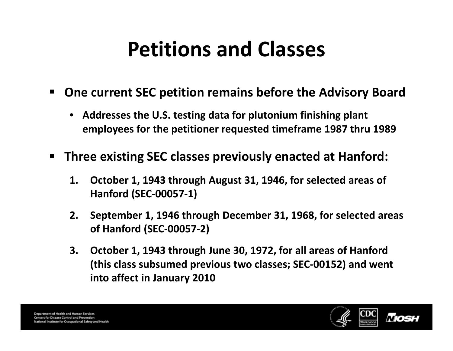### **Petitions and Classes**

- **One current SEC petition remains before the Advisory Board**
	- **Addresses the U.S. testing data for plutonium finishing plant employees for the petitioner requested timeframe 1987 thru 1989**
- $\blacksquare$ **<u><b>** $\blacksquare$  Three existing SEC classes previously enacted at Hanford:</u>
	- **1. October 1, 1943 through August 31, 1946, for selected areas of Hanford Hanf or (SEC‐00057‐1)**
	- **2. September 1, 1946 through December 31, 1968, for selected areas of Hanford (SEC‐00057‐2)**
	- **3. October 1, 1943 through June 30, 1972, for all areas of Hanford (this class subsumed previous two classes; SEC‐00152) and went into affect in January 2010**

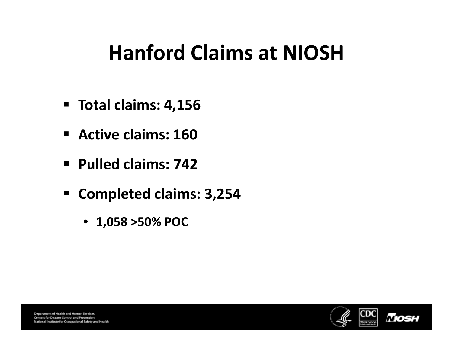#### **Hanford Claims at NIOSH**

- **Total claims: 4,156**
- **Active claims: 160**
- **Pulled claims: 742**
- **Completed claims: 3,254**
	- **1,058 >50% POC**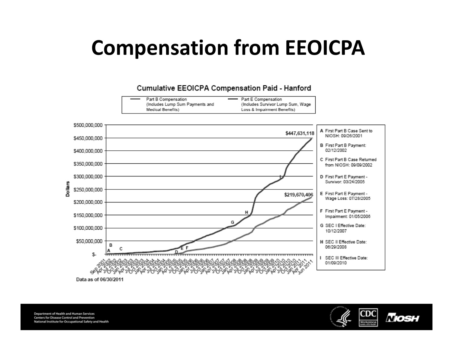### **Compensation from EEOICPA**



Data as of 06/30/2011

**Department of Health and Human Services** Centers for Disease Control and Prevention National Institute for Occupational Safety and Health

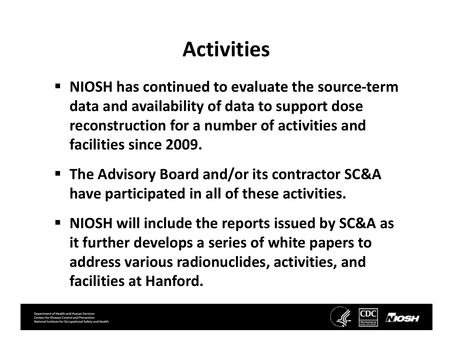## **Activities**

- **NIOSH has continued to evaluate the source‐termdata and availability of data to support dose reconstruction for <sup>a</sup> number of activities and facilities since 2009.**
- **The Advisory Board and/or its contractor SC&A have participated in all of these activities.**
- **NIOSH will include the reports issued by SC&A as it further develops <sup>a</sup> series of white papers to address various radionuclides, activities, and facilities at Hanford.**